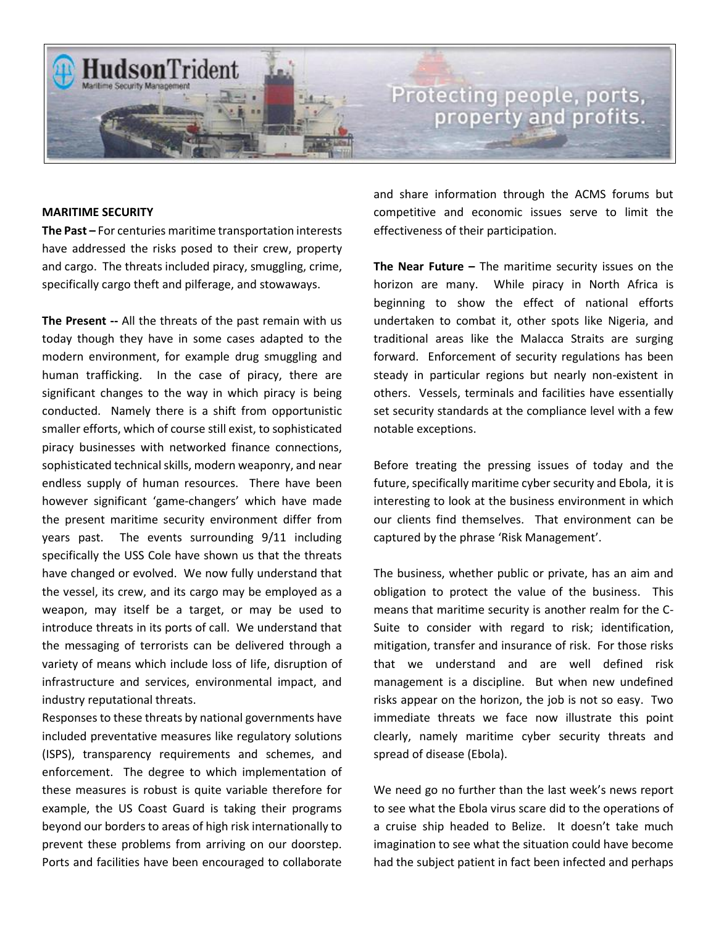

### **MARITIME SECURITY**

**The Past –** For centuries maritime transportation interests have addressed the risks posed to their crew, property and cargo. The threats included piracy, smuggling, crime, specifically cargo theft and pilferage, and stowaways.

**The Present --** All the threats of the past remain with us today though they have in some cases adapted to the modern environment, for example drug smuggling and human trafficking. In the case of piracy, there are significant changes to the way in which piracy is being conducted. Namely there is a shift from opportunistic smaller efforts, which of course still exist, to sophisticated piracy businesses with networked finance connections, sophisticated technical skills, modern weaponry, and near endless supply of human resources. There have been however significant 'game-changers' which have made the present maritime security environment differ from years past. The events surrounding 9/11 including specifically the USS Cole have shown us that the threats have changed or evolved. We now fully understand that the vessel, its crew, and its cargo may be employed as a weapon, may itself be a target, or may be used to introduce threats in its ports of call. We understand that the messaging of terrorists can be delivered through a variety of means which include loss of life, disruption of infrastructure and services, environmental impact, and industry reputational threats.

Responses to these threats by national governments have included preventative measures like regulatory solutions (ISPS), transparency requirements and schemes, and enforcement. The degree to which implementation of these measures is robust is quite variable therefore for example, the US Coast Guard is taking their programs beyond our borders to areas of high risk internationally to prevent these problems from arriving on our doorstep. Ports and facilities have been encouraged to collaborate

and share information through the ACMS forums but competitive and economic issues serve to limit the effectiveness of their participation.

**The Near Future –** The maritime security issues on the horizon are many. While piracy in North Africa is beginning to show the effect of national efforts undertaken to combat it, other spots like Nigeria, and traditional areas like the Malacca Straits are surging forward. Enforcement of security regulations has been steady in particular regions but nearly non-existent in others. Vessels, terminals and facilities have essentially set security standards at the compliance level with a few notable exceptions.

Before treating the pressing issues of today and the future, specifically maritime cyber security and Ebola, it is interesting to look at the business environment in which our clients find themselves. That environment can be captured by the phrase 'Risk Management'.

The business, whether public or private, has an aim and obligation to protect the value of the business. This means that maritime security is another realm for the C-Suite to consider with regard to risk; identification, mitigation, transfer and insurance of risk. For those risks that we understand and are well defined risk management is a discipline. But when new undefined risks appear on the horizon, the job is not so easy. Two immediate threats we face now illustrate this point clearly, namely maritime cyber security threats and spread of disease (Ebola).

We need go no further than the last week's news report to see what the Ebola virus scare did to the operations of a cruise ship headed to Belize. It doesn't take much imagination to see what the situation could have become had the subject patient in fact been infected and perhaps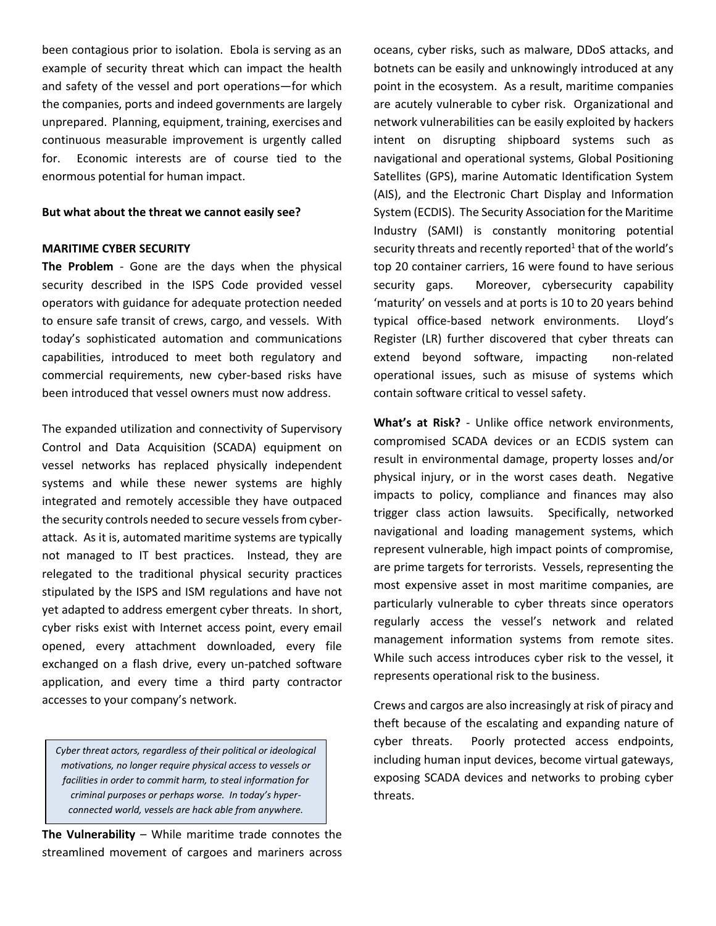been contagious prior to isolation. Ebola is serving as an example of security threat which can impact the health and safety of the vessel and port operations—for which the companies, ports and indeed governments are largely unprepared. Planning, equipment, training, exercises and continuous measurable improvement is urgently called for. Economic interests are of course tied to the enormous potential for human impact.

### **But what about the threat we cannot easily see?**

#### **MARITIME CYBER SECURITY**

**The Problem** - Gone are the days when the physical security described in the ISPS Code provided vessel operators with guidance for adequate protection needed to ensure safe transit of crews, cargo, and vessels. With today's sophisticated automation and communications capabilities, introduced to meet both regulatory and commercial requirements, new cyber-based risks have been introduced that vessel owners must now address.

The expanded utilization and connectivity of Supervisory Control and Data Acquisition (SCADA) equipment on vessel networks has replaced physically independent systems and while these newer systems are highly integrated and remotely accessible they have outpaced the security controls needed to secure vessels from cyberattack. As it is, automated maritime systems are typically not managed to IT best practices. Instead, they are relegated to the traditional physical security practices stipulated by the ISPS and ISM regulations and have not yet adapted to address emergent cyber threats. In short, cyber risks exist with Internet access point, every email opened, every attachment downloaded, every file exchanged on a flash drive, every un-patched software application, and every time a third party contractor accesses to your company's network.

*Cyber threat actors, regardless of their political or ideological motivations, no longer require physical access to vessels or facilities in order to commit harm, to steal information for criminal purposes or perhaps worse. In today's hyperconnected world, vessels are hack able from anywhere.*

**The Vulnerability** – While maritime trade connotes the streamlined movement of cargoes and mariners across oceans, cyber risks, such as malware, DDoS attacks, and botnets can be easily and unknowingly introduced at any point in the ecosystem. As a result, maritime companies are acutely vulnerable to cyber risk. Organizational and network vulnerabilities can be easily exploited by hackers intent on disrupting shipboard systems such as navigational and operational systems, Global Positioning Satellites (GPS), marine Automatic Identification System (AIS), and the Electronic Chart Display and Information System (ECDIS). The Security Association for the Maritime Industry (SAMI) is constantly monitoring potential security threats and recently reported<sup>1</sup> that of the world's top 20 container carriers, 16 were found to have serious security gaps. Moreover, cybersecurity capability 'maturity' on vessels and at ports is 10 to 20 years behind typical office-based network environments. Lloyd's Register (LR) further discovered that cyber threats can extend beyond software, impacting non-related operational issues, such as misuse of systems which contain software critical to vessel safety.

**What's at Risk?** - Unlike office network environments, compromised SCADA devices or an ECDIS system can result in environmental damage, property losses and/or physical injury, or in the worst cases death. Negative impacts to policy, compliance and finances may also trigger class action lawsuits. Specifically, networked navigational and loading management systems, which represent vulnerable, high impact points of compromise, are prime targets for terrorists. Vessels, representing the most expensive asset in most maritime companies, are particularly vulnerable to cyber threats since operators regularly access the vessel's network and related management information systems from remote sites. While such access introduces cyber risk to the vessel, it represents operational risk to the business.

Crews and cargos are also increasingly at risk of piracy and theft because of the escalating and expanding nature of cyber threats. Poorly protected access endpoints, including human input devices, become virtual gateways, exposing SCADA devices and networks to probing cyber threats.